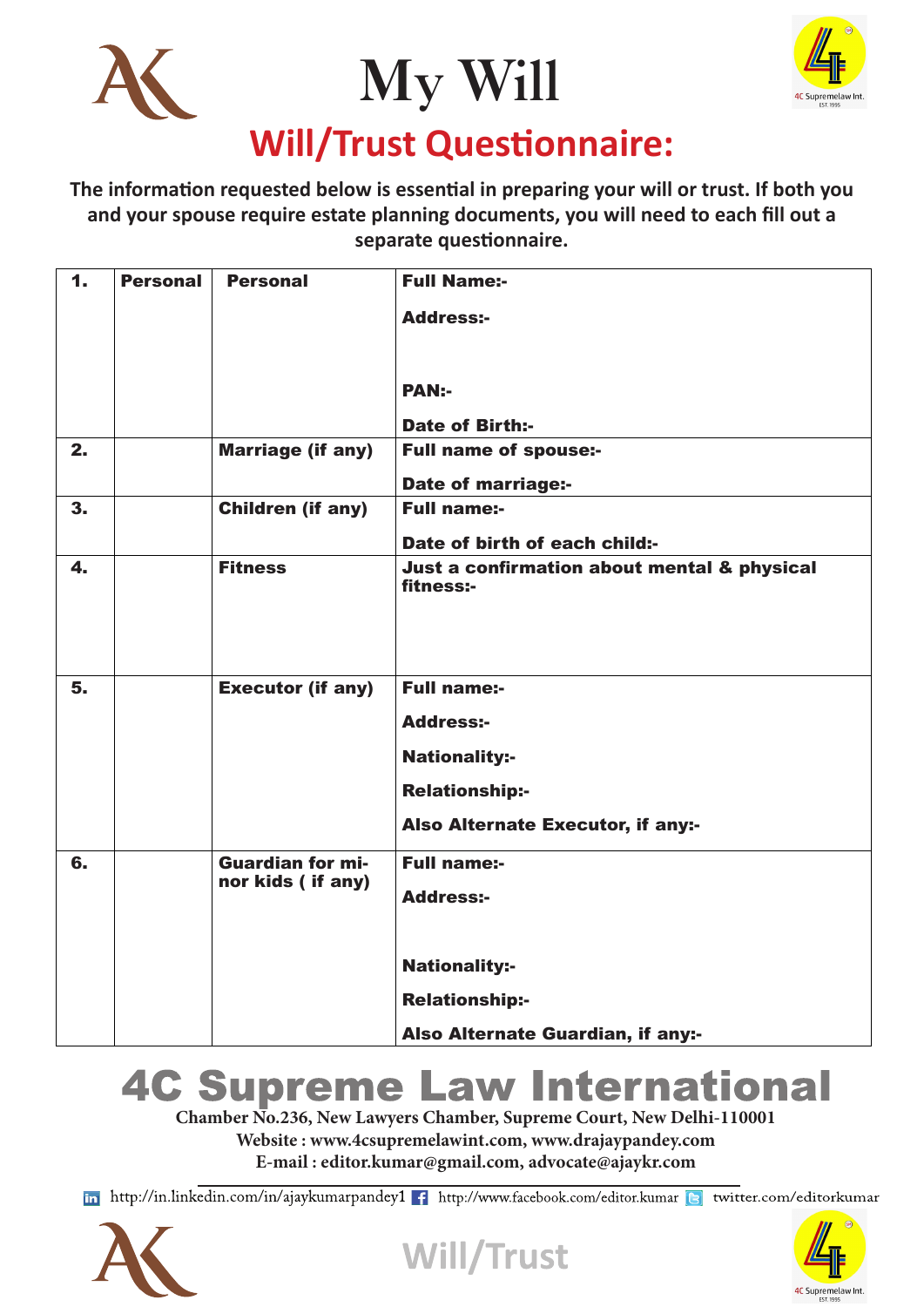



#### **The information requested below is essential in preparing your will or trust. If both you and your spouse require estate planning documents, you will need to each fill out a separate questionnaire.**

| $\mathbf{1}$   | <b>Personal</b> | <b>Personal</b>          | <b>Full Name:-</b>                                       |
|----------------|-----------------|--------------------------|----------------------------------------------------------|
|                |                 |                          | <b>Address:-</b>                                         |
|                |                 |                          |                                                          |
|                |                 |                          | <b>PAN:-</b>                                             |
|                |                 |                          | <b>Date of Birth:-</b>                                   |
| 2.             |                 | <b>Marriage (if any)</b> | <b>Full name of spouse:-</b>                             |
|                |                 |                          | <b>Date of marriage:-</b>                                |
| 3 <sub>1</sub> |                 | <b>Children (if any)</b> | <b>Full name:-</b>                                       |
|                |                 |                          | Date of birth of each child:-                            |
| 4.             |                 | <b>Fitness</b>           | Just a confirmation about mental & physical<br>fitness:- |
|                |                 |                          |                                                          |
|                |                 |                          |                                                          |
|                |                 |                          |                                                          |
| 5.             |                 | <b>Executor (if any)</b> | <b>Full name:-</b>                                       |
|                |                 |                          | <b>Address:-</b>                                         |
|                |                 |                          | <b>Nationality:-</b>                                     |
|                |                 |                          | <b>Relationship:-</b>                                    |
|                |                 |                          | Also Alternate Executor, if any:-                        |
| 6.             |                 | <b>Guardian for mi-</b>  | <b>Full name:-</b>                                       |
|                |                 | nor kids (if any)        | <b>Address:-</b>                                         |
|                |                 |                          |                                                          |
|                |                 |                          | <b>Nationality:-</b>                                     |
|                |                 |                          | <b>Relationship:-</b>                                    |
|                |                 |                          |                                                          |
|                |                 |                          | Also Alternate Guardian, if any:-                        |

#### **4C Supreme Law International**

**Chamber No.236, New Lawyers Chamber, Supreme Court, New Delhi-110001 Website : www.4csupremelawint.com, www.drajaypandey.com E-mail : editor.kumar@gmail.com, advocate@ajaykr.com**

in http://in.linkedin.com/in/ajaykumarpandey1 f http://www.facebook.com/editor.kumar b twitter.com/editorkumar





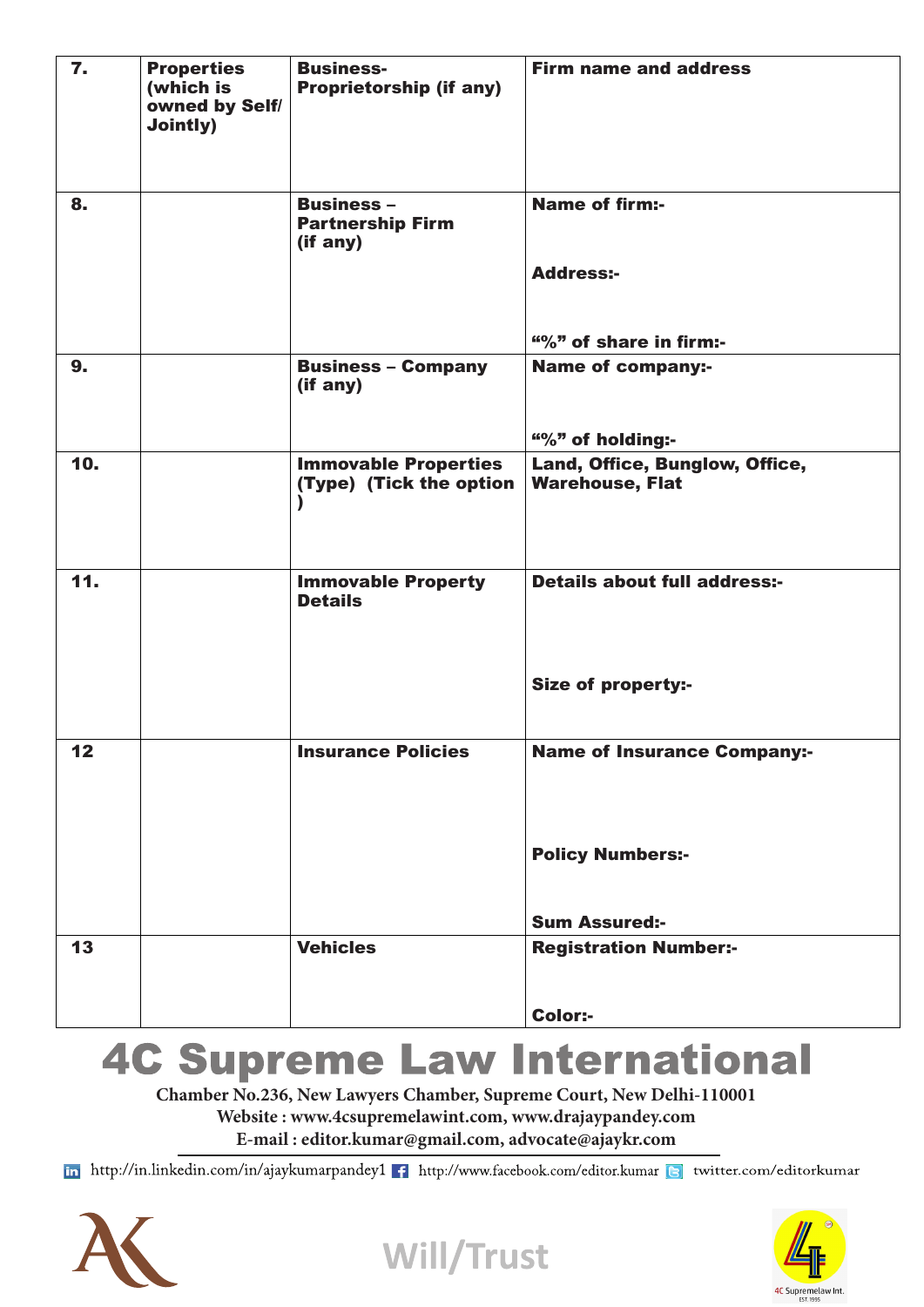| $\mathbf{7}$                                     | <b>Properties</b><br>(which is<br>owned by Self/<br><b>Jointly)</b> | <b>Business-</b><br><b>Proprietorship (if any)</b>       | <b>Firm name and address</b>                             |
|--------------------------------------------------|---------------------------------------------------------------------|----------------------------------------------------------|----------------------------------------------------------|
| 8.                                               |                                                                     | <b>Business -</b><br><b>Partnership Firm</b><br>(if any) | <b>Name of firm:-</b><br><b>Address:-</b>                |
|                                                  |                                                                     |                                                          | "%" of share in firm:-                                   |
| 9 <sub>1</sub>                                   |                                                                     | <b>Business - Company</b><br>(if any)                    | <b>Name of company:-</b>                                 |
|                                                  |                                                                     |                                                          | "%" of holding:-                                         |
| 10.                                              |                                                                     | <b>Immovable Properties</b><br>(Type) (Tick the option   | Land, Office, Bunglow, Office,<br><b>Warehouse, Flat</b> |
|                                                  |                                                                     |                                                          |                                                          |
| 11.                                              |                                                                     | <b>Immovable Property</b><br><b>Details</b>              | <b>Details about full address:-</b>                      |
|                                                  |                                                                     |                                                          | <b>Size of property:-</b>                                |
| $\begin{array}{c} \n \textbf{12} \n \end{array}$ |                                                                     | <b>Insurance Policies</b>                                | <b>Name of Insurance Company:-</b>                       |
|                                                  |                                                                     |                                                          | <b>Policy Numbers:-</b>                                  |
|                                                  |                                                                     |                                                          | <b>Sum Assured:-</b>                                     |
| 13                                               |                                                                     | <b>Vehicles</b>                                          | <b>Registration Number:-</b>                             |
|                                                  |                                                                     |                                                          | Color:-                                                  |

### **4C Supreme Law International**

**Chamber No.236, New Lawyers Chamber, Supreme Court, New Delhi-110001**

**Website : www.4csupremelawint.com, www.drajaypandey.com**

**E-mail : editor.kumar@gmail.com, advocate@ajaykr.com**

in http://in.linkedin.com/in/ajaykumarpandey1 f http://www.facebook.com/editor.kumar a twitter.com/editorkumar





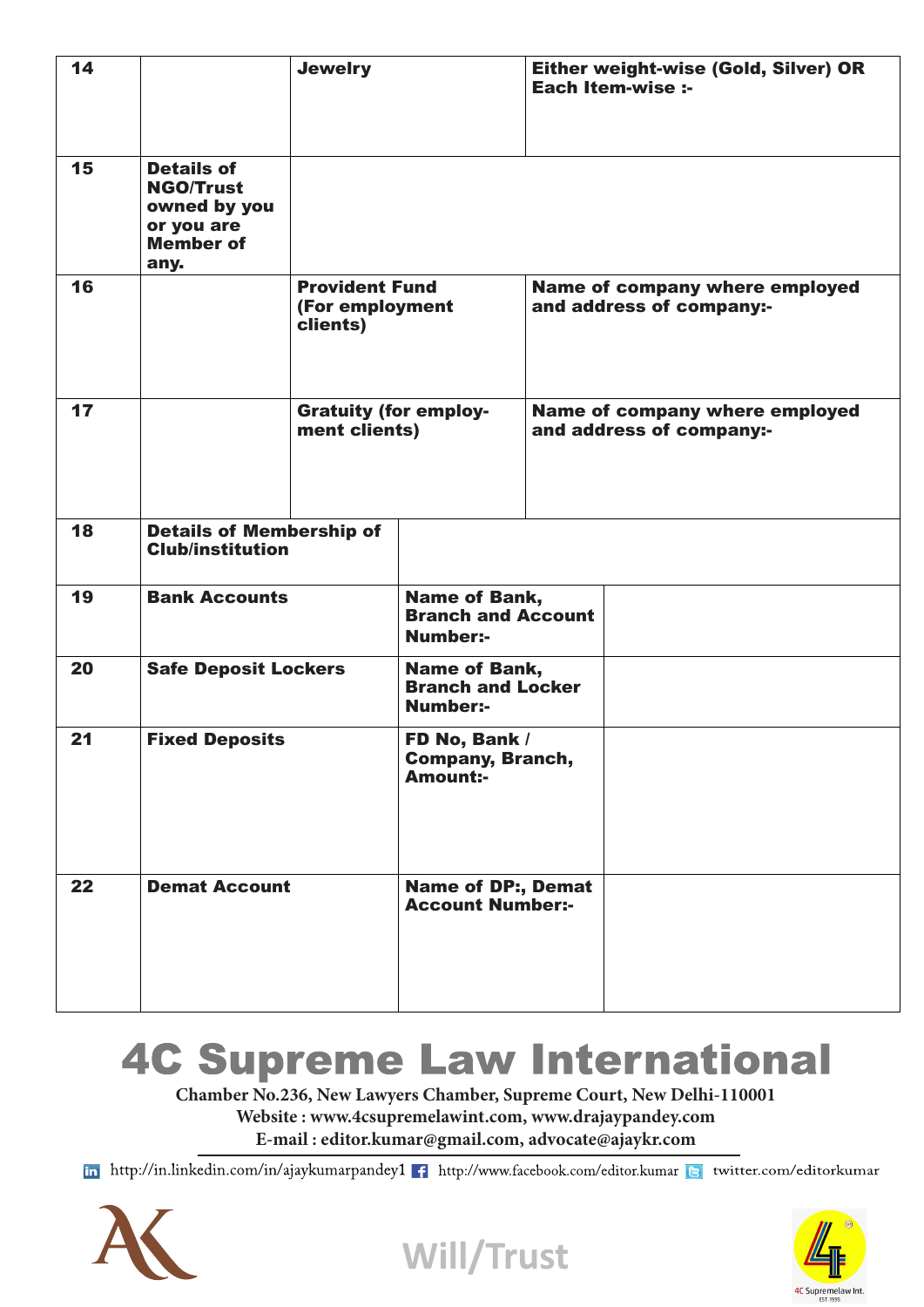| 14 |                                                                                                 | <b>Jewelry</b>                                       |                                                               | Either weight-wise (Gold, Silver) OR<br><b>Each Item-wise :-</b> |
|----|-------------------------------------------------------------------------------------------------|------------------------------------------------------|---------------------------------------------------------------|------------------------------------------------------------------|
| 15 | <b>Details of</b><br><b>NGO/Trust</b><br>owned by you<br>or you are<br><b>Member of</b><br>any. |                                                      |                                                               |                                                                  |
| 16 |                                                                                                 | <b>Provident Fund</b><br>(For employment<br>clients) |                                                               | Name of company where employed<br>and address of company:-       |
| 17 |                                                                                                 | <b>Gratuity (for employ-</b><br>ment clients)        |                                                               | Name of company where employed<br>and address of company:-       |
| 18 | <b>Details of Membership of</b><br><b>Club/institution</b>                                      |                                                      |                                                               |                                                                  |
| 19 | <b>Bank Accounts</b>                                                                            |                                                      | Name of Bank,<br><b>Branch and Account</b><br><b>Number:-</b> |                                                                  |
| 20 | <b>Safe Deposit Lockers</b>                                                                     |                                                      | Name of Bank,<br><b>Branch and Locker</b><br><b>Number:-</b>  |                                                                  |
| 21 | <b>Fixed Deposits</b>                                                                           |                                                      | FD No, Bank /<br><b>Company, Branch,</b><br><b>Amount:-</b>   |                                                                  |
| 22 | <b>Demat Account</b>                                                                            |                                                      | <b>Name of DP:, Demat</b><br><b>Account Number:-</b>          |                                                                  |

## **4C Supreme Law International**

**Chamber No.236, New Lawyers Chamber, Supreme Court, New Delhi-110001 Website : www.4csupremelawint.com, www.drajaypandey.com**

**E-mail : editor.kumar@gmail.com, advocate@ajaykr.com**

in http://in.linkedin.com/in/ajaykumarpandey1 f http://www.facebook.com/editor.kumar a twitter.com/editorkumar

**Will/Trust** 



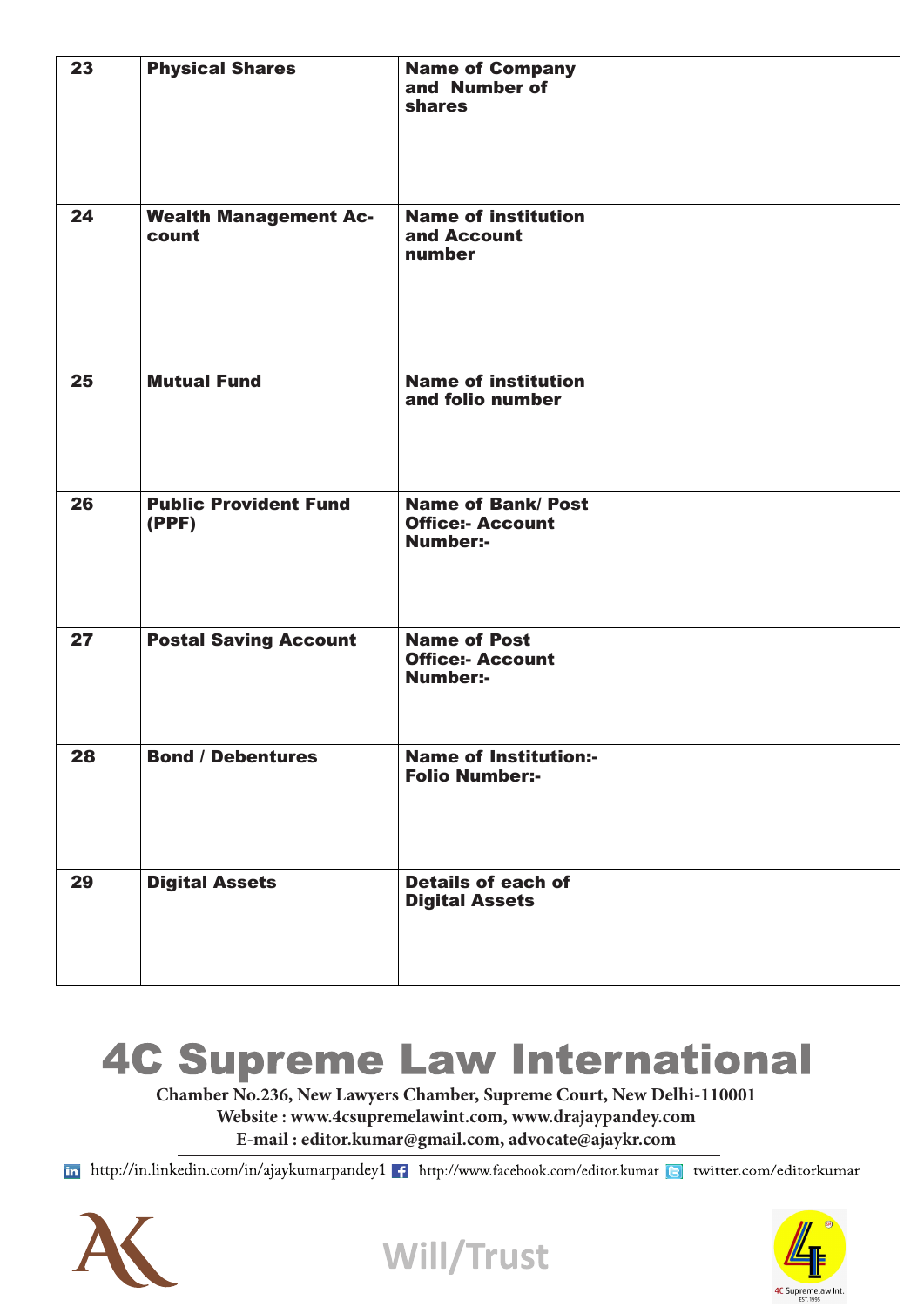| 23 | <b>Physical Shares</b>                | <b>Name of Company</b><br>and Number of<br>shares                       |  |
|----|---------------------------------------|-------------------------------------------------------------------------|--|
| 24 | <b>Wealth Management Ac-</b><br>count | <b>Name of institution</b><br>and Account<br>number                     |  |
| 25 | <b>Mutual Fund</b>                    | <b>Name of institution</b><br>and folio number                          |  |
| 26 | <b>Public Provident Fund</b><br>(PPF) | <b>Name of Bank/ Post</b><br><b>Office:- Account</b><br><b>Number:-</b> |  |
| 27 | <b>Postal Saving Account</b>          | <b>Name of Post</b><br><b>Office:- Account</b><br><b>Number:-</b>       |  |
| 28 | <b>Bond / Debentures</b>              | <b>Name of Institution:-</b><br><b>Folio Number:-</b>                   |  |
| 29 | <b>Digital Assets</b>                 | <b>Details of each of</b><br><b>Digital Assets</b>                      |  |

# **4C Supreme Law International**

**Chamber No.236, New Lawyers Chamber, Supreme Court, New Delhi-110001 Website : www.4csupremelawint.com, www.drajaypandey.com**

**E-mail : editor.kumar@gmail.com, advocate@ajaykr.com**

in http://in.linkedin.com/in/ajaykumarpandey1 f http://www.facebook.com/editor.kumar a twitter.com/editorkumar